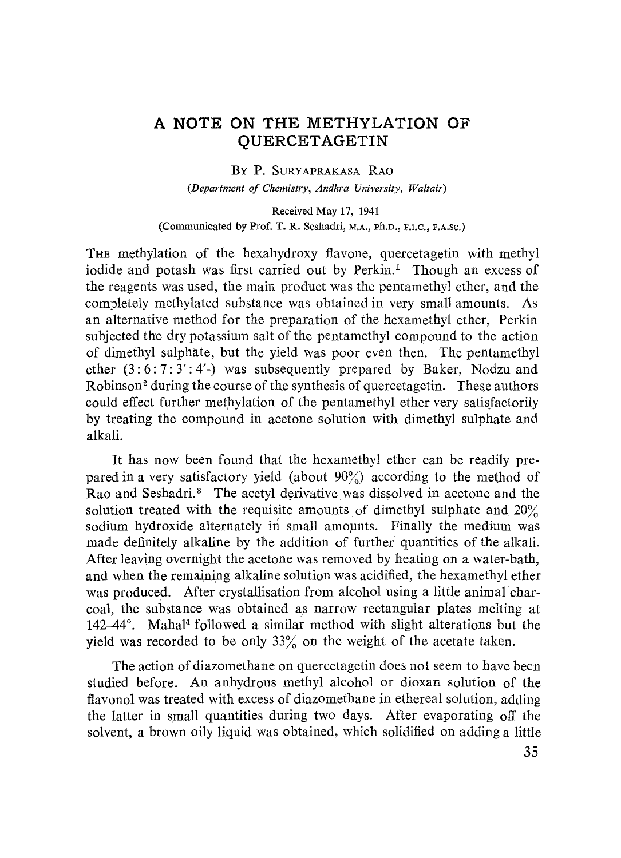## **A NOTE ON THE METHYLATION OF QUERCETAGETIN**

## **BY P.** SURYAPRAKASA RAO

*(Department of Chemistry, Andhra University, Waltair)*

Received May 17, 1941 (Communicated by Prof. T. R. Seshadri, M.A., Ph.D., F.I.C., F.A.Sc.)

THE methylation of the hexahydroxy flavone, quercetagetin with methyl iodide and potash was first carried out by Perkin.' Though an excess of the reagents was used, the main product was the pentamethyl ether, and the completely methylated substance was obtained in very small amounts. As an alternative method for the preparation of the hexamethyl ether, Perkin subjected the dry potassium salt of the pentamethyl compound to the action of dimethyl sulphate, but the yield was poor even then. The pentamethyl ether  $(3: 6: 7: 3': 4'$ -) was subsequently prepared by Baker, Nodzu and Robinson<sup>2</sup> during the course of the synthesis of quercetagetin. These authors could effect further methylation of the pentamethyl ether very satisfactorily by treating the compound in acetone solution with dimethyl sulphate and alkali.

It has now been found that the hexamethyl ether can be readily prepared in a very satisfactory yield (about  $90\%$ ) according to the method of Rao and Seshadri.<sup>3</sup> The acetyl derivative was dissolved in acetone and the solution treated with the requisite amounts of dimethyl sulphate and 20% sodium hydroxide alternately in small amounts. Finally the medium was made definitely alkaline by the addition of further quantities of the alkali. After leaving overnight the acetone was removed by heating on a water-bath, and when the remaining alkaline solution was acidified, the hexamethyl ether was produced. After crystallisation from alcohol using a little animal charcoal, the substance was obtained as narrow rectangular plates melting at 142-44°. Mahal<sup>4</sup> followed a similar method with slight alterations but the yield was recorded to be only 33% on the weight of the acetate taken.

The action of diazomethane on quercetagetin does not seem to have been studied before. An anhydrous methyl alcohol or dioxan solution of the flavonol was treated with excess of diazomethane in ethereal solution, adding the latter in small quantities during two days. After evaporating off the solvent, a brown oily liquid was obtained, which solidified on adding a little